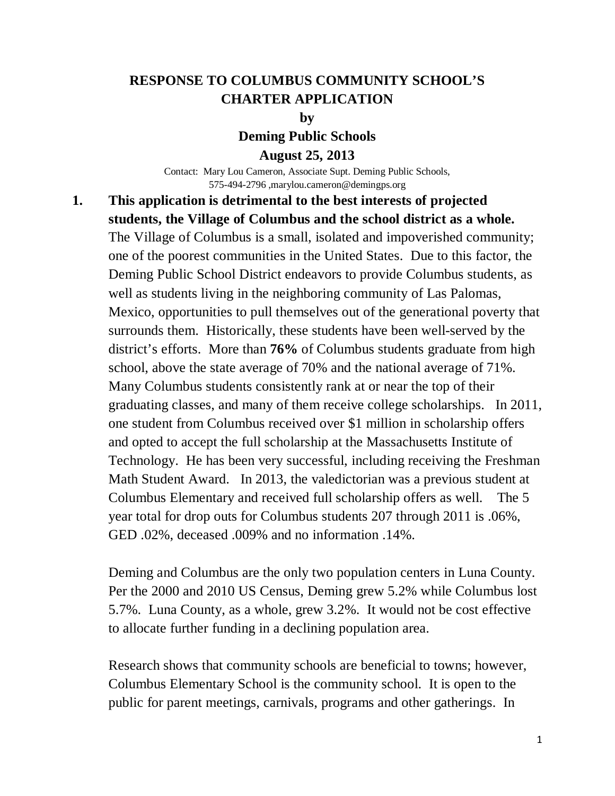### **RESPONSE TO COLUMBUS COMMUNITY SCHOOL'S CHARTER APPLICATION**

**by**

**Deming Public Schools**

**August 25, 2013**

Contact: Mary Lou Cameron, Associate Supt. Deming Public Schools, 575-494-2796 ,marylou.cameron@demingps.org

## **1. This application is detrimental to the best interests of projected students, the Village of Columbus and the school district as a whole.**

The Village of Columbus is a small, isolated and impoverished community; one of the poorest communities in the United States. Due to this factor, the Deming Public School District endeavors to provide Columbus students, as well as students living in the neighboring community of Las Palomas, Mexico, opportunities to pull themselves out of the generational poverty that surrounds them. Historically, these students have been well-served by the district's efforts. More than **76%** of Columbus students graduate from high school, above the state average of 70% and the national average of 71%. Many Columbus students consistently rank at or near the top of their graduating classes, and many of them receive college scholarships. In 2011, one student from Columbus received over \$1 million in scholarship offers and opted to accept the full scholarship at the Massachusetts Institute of Technology. He has been very successful, including receiving the Freshman Math Student Award. In 2013, the valedictorian was a previous student at Columbus Elementary and received full scholarship offers as well. The 5 year total for drop outs for Columbus students 207 through 2011 is .06%, GED .02%, deceased .009% and no information .14%.

Deming and Columbus are the only two population centers in Luna County. Per the 2000 and 2010 US Census, Deming grew 5.2% while Columbus lost 5.7%. Luna County, as a whole, grew 3.2%. It would not be cost effective to allocate further funding in a declining population area.

Research shows that community schools are beneficial to towns; however, Columbus Elementary School is the community school. It is open to the public for parent meetings, carnivals, programs and other gatherings. In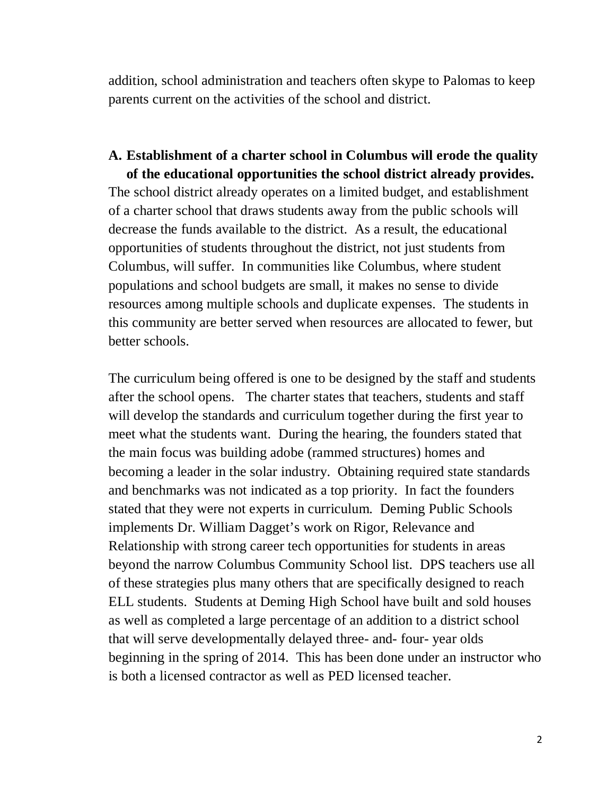addition, school administration and teachers often skype to Palomas to keep parents current on the activities of the school and district.

#### **A. Establishment of a charter school in Columbus will erode the quality of the educational opportunities the school district already provides.**

The school district already operates on a limited budget, and establishment of a charter school that draws students away from the public schools will decrease the funds available to the district. As a result, the educational opportunities of students throughout the district, not just students from Columbus, will suffer. In communities like Columbus, where student populations and school budgets are small, it makes no sense to divide resources among multiple schools and duplicate expenses. The students in this community are better served when resources are allocated to fewer, but better schools.

The curriculum being offered is one to be designed by the staff and students after the school opens. The charter states that teachers, students and staff will develop the standards and curriculum together during the first year to meet what the students want. During the hearing, the founders stated that the main focus was building adobe (rammed structures) homes and becoming a leader in the solar industry. Obtaining required state standards and benchmarks was not indicated as a top priority. In fact the founders stated that they were not experts in curriculum. Deming Public Schools implements Dr. William Dagget's work on Rigor, Relevance and Relationship with strong career tech opportunities for students in areas beyond the narrow Columbus Community School list. DPS teachers use all of these strategies plus many others that are specifically designed to reach ELL students. Students at Deming High School have built and sold houses as well as completed a large percentage of an addition to a district school that will serve developmentally delayed three- and- four- year olds beginning in the spring of 2014. This has been done under an instructor who is both a licensed contractor as well as PED licensed teacher.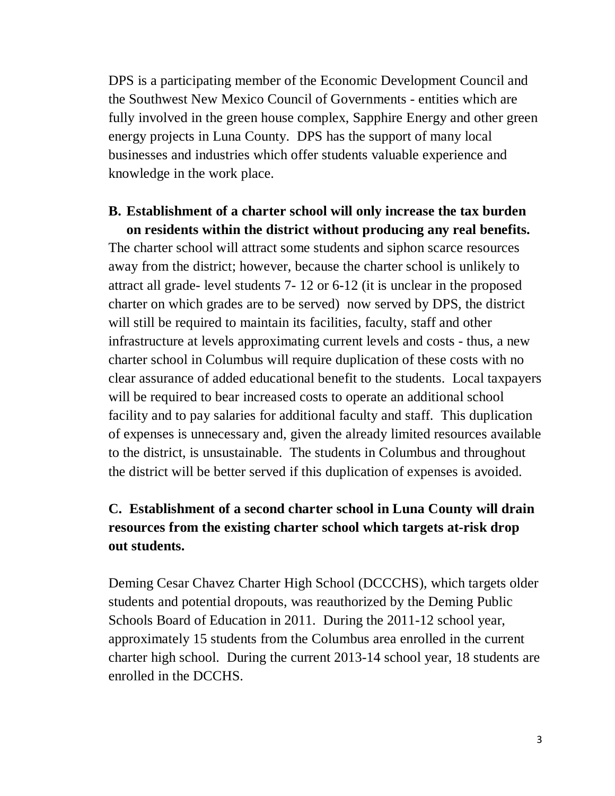DPS is a participating member of the Economic Development Council and the Southwest New Mexico Council of Governments - entities which are fully involved in the green house complex, Sapphire Energy and other green energy projects in Luna County. DPS has the support of many local businesses and industries which offer students valuable experience and knowledge in the work place.

#### **B. Establishment of a charter school will only increase the tax burden on residents within the district without producing any real benefits.**

The charter school will attract some students and siphon scarce resources away from the district; however, because the charter school is unlikely to attract all grade- level students 7- 12 or 6-12 (it is unclear in the proposed charter on which grades are to be served) now served by DPS, the district will still be required to maintain its facilities, faculty, staff and other infrastructure at levels approximating current levels and costs - thus, a new charter school in Columbus will require duplication of these costs with no clear assurance of added educational benefit to the students. Local taxpayers will be required to bear increased costs to operate an additional school facility and to pay salaries for additional faculty and staff. This duplication of expenses is unnecessary and, given the already limited resources available to the district, is unsustainable. The students in Columbus and throughout the district will be better served if this duplication of expenses is avoided.

## **C. Establishment of a second charter school in Luna County will drain resources from the existing charter school which targets at-risk drop out students.**

Deming Cesar Chavez Charter High School (DCCCHS), which targets older students and potential dropouts, was reauthorized by the Deming Public Schools Board of Education in 2011. During the 2011-12 school year, approximately 15 students from the Columbus area enrolled in the current charter high school. During the current 2013-14 school year, 18 students are enrolled in the DCCHS.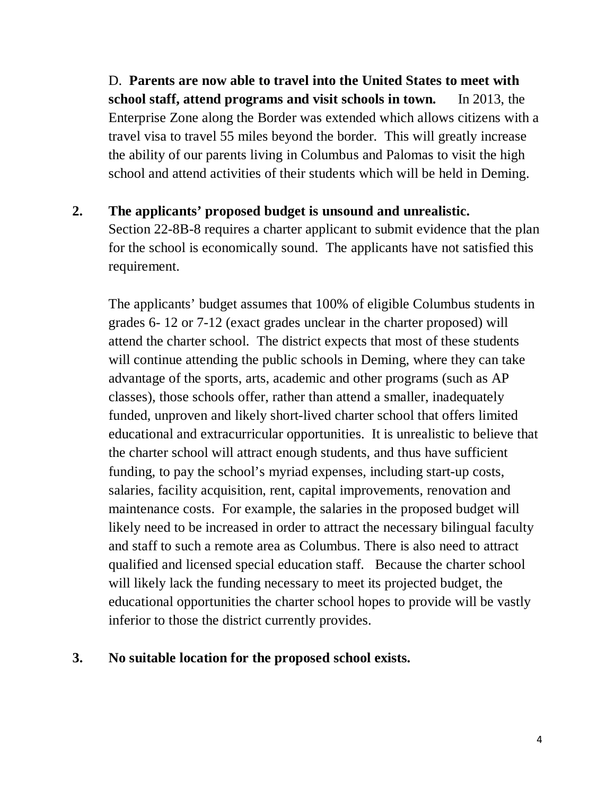D. **Parents are now able to travel into the United States to meet with school staff, attend programs and visit schools in town.** In 2013, the Enterprise Zone along the Border was extended which allows citizens with a travel visa to travel 55 miles beyond the border. This will greatly increase the ability of our parents living in Columbus and Palomas to visit the high school and attend activities of their students which will be held in Deming.

**2. The applicants' proposed budget is unsound and unrealistic.** Section 22-8B-8 requires a charter applicant to submit evidence that the plan for the school is economically sound. The applicants have not satisfied this requirement.

The applicants' budget assumes that 100% of eligible Columbus students in grades 6- 12 or 7-12 (exact grades unclear in the charter proposed) will attend the charter school. The district expects that most of these students will continue attending the public schools in Deming, where they can take advantage of the sports, arts, academic and other programs (such as AP classes), those schools offer, rather than attend a smaller, inadequately funded, unproven and likely short-lived charter school that offers limited educational and extracurricular opportunities. It is unrealistic to believe that the charter school will attract enough students, and thus have sufficient funding, to pay the school's myriad expenses, including start-up costs, salaries, facility acquisition, rent, capital improvements, renovation and maintenance costs. For example, the salaries in the proposed budget will likely need to be increased in order to attract the necessary bilingual faculty and staff to such a remote area as Columbus. There is also need to attract qualified and licensed special education staff. Because the charter school will likely lack the funding necessary to meet its projected budget, the educational opportunities the charter school hopes to provide will be vastly inferior to those the district currently provides.

**3. No suitable location for the proposed school exists.**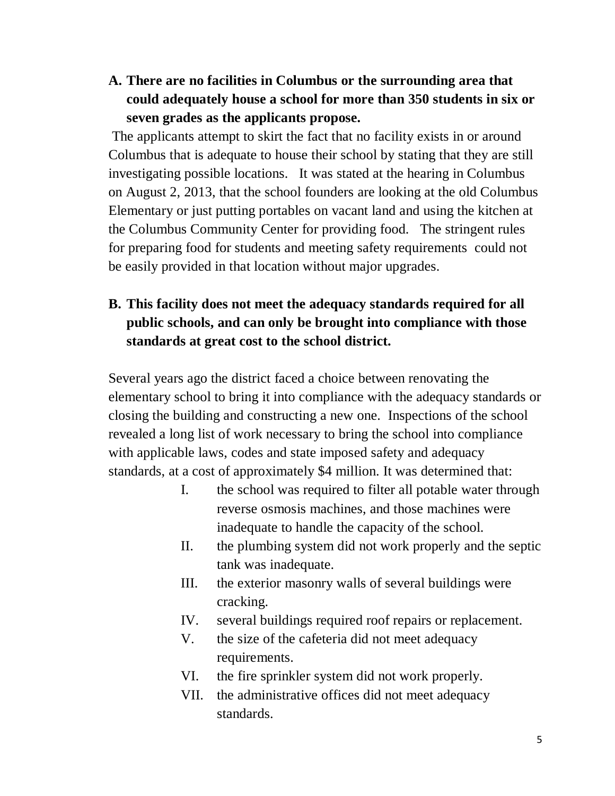**A. There are no facilities in Columbus or the surrounding area that could adequately house a school for more than 350 students in six or seven grades as the applicants propose.**

The applicants attempt to skirt the fact that no facility exists in or around Columbus that is adequate to house their school by stating that they are still investigating possible locations. It was stated at the hearing in Columbus on August 2, 2013, that the school founders are looking at the old Columbus Elementary or just putting portables on vacant land and using the kitchen at the Columbus Community Center for providing food. The stringent rules for preparing food for students and meeting safety requirements could not be easily provided in that location without major upgrades.

## **B. This facility does not meet the adequacy standards required for all public schools, and can only be brought into compliance with those standards at great cost to the school district.**

Several years ago the district faced a choice between renovating the elementary school to bring it into compliance with the adequacy standards or closing the building and constructing a new one. Inspections of the school revealed a long list of work necessary to bring the school into compliance with applicable laws, codes and state imposed safety and adequacy standards, at a cost of approximately \$4 million. It was determined that:

- I. the school was required to filter all potable water through reverse osmosis machines, and those machines were inadequate to handle the capacity of the school.
- II. the plumbing system did not work properly and the septic tank was inadequate.
- III. the exterior masonry walls of several buildings were cracking.
- IV. several buildings required roof repairs or replacement.
- V. the size of the cafeteria did not meet adequacy requirements.
- VI. the fire sprinkler system did not work properly.
- VII. the administrative offices did not meet adequacy standards.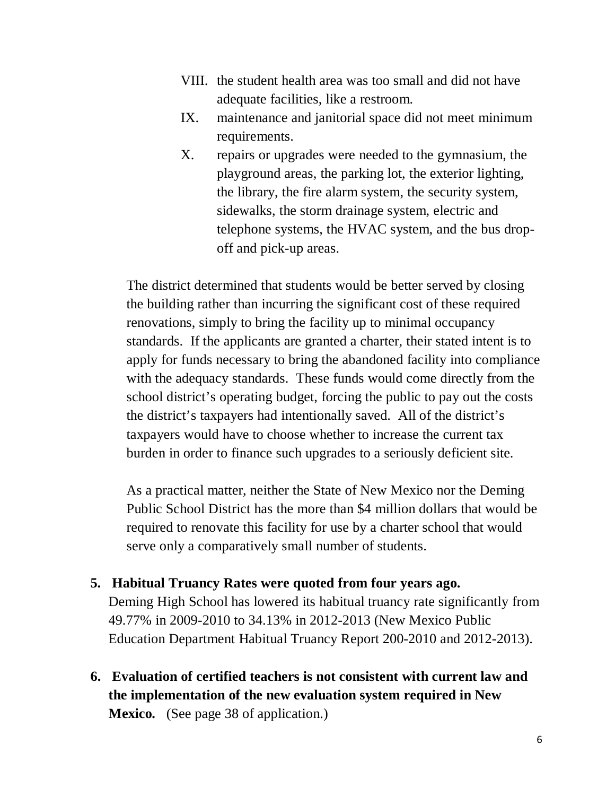- VIII. the student health area was too small and did not have adequate facilities, like a restroom.
- IX. maintenance and janitorial space did not meet minimum requirements.
- X. repairs or upgrades were needed to the gymnasium, the playground areas, the parking lot, the exterior lighting, the library, the fire alarm system, the security system, sidewalks, the storm drainage system, electric and telephone systems, the HVAC system, and the bus dropoff and pick-up areas.

The district determined that students would be better served by closing the building rather than incurring the significant cost of these required renovations, simply to bring the facility up to minimal occupancy standards. If the applicants are granted a charter, their stated intent is to apply for funds necessary to bring the abandoned facility into compliance with the adequacy standards. These funds would come directly from the school district's operating budget, forcing the public to pay out the costs the district's taxpayers had intentionally saved. All of the district's taxpayers would have to choose whether to increase the current tax burden in order to finance such upgrades to a seriously deficient site.

As a practical matter, neither the State of New Mexico nor the Deming Public School District has the more than \$4 million dollars that would be required to renovate this facility for use by a charter school that would serve only a comparatively small number of students.

**5. Habitual Truancy Rates were quoted from four years ago.** 

Deming High School has lowered its habitual truancy rate significantly from 49.77% in 2009-2010 to 34.13% in 2012-2013 (New Mexico Public Education Department Habitual Truancy Report 200-2010 and 2012-2013).

**6. Evaluation of certified teachers is not consistent with current law and the implementation of the new evaluation system required in New Mexico.** (See page 38 of application.)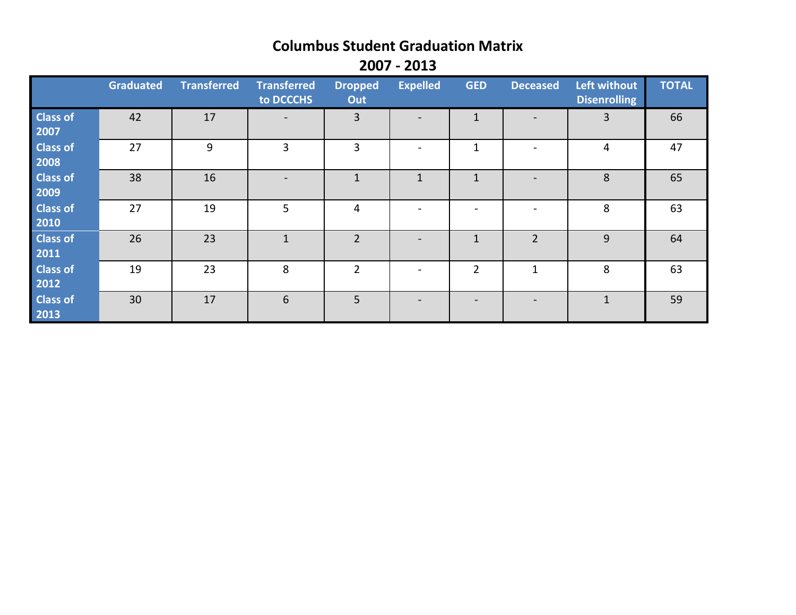# **Columbus Student Graduation Matrix**

**2007 - 2013**

|                         | Graduated | <b>Transferred</b> | <b>Transferred</b><br>to DCCCHS | <b>Dropped</b><br>Out | <b>Expelled</b> | <b>GED</b>     | <b>Deceased</b>          | Left without<br><b>Disenrolling</b> | <b>TOTAL</b> |
|-------------------------|-----------|--------------------|---------------------------------|-----------------------|-----------------|----------------|--------------------------|-------------------------------------|--------------|
| <b>Class of</b><br>2007 | 42        | 17                 | $\overline{\phantom{a}}$        | $\overline{3}$        |                 | 1              | $\overline{\phantom{a}}$ | 3                                   | 66           |
| <b>Class of</b><br>2008 | 27        | 9                  | 3                               | 3                     |                 |                |                          | 4                                   | 47           |
| <b>Class of</b><br>2009 | 38        | 16                 |                                 |                       |                 |                |                          | 8                                   | 65           |
| <b>Class of</b><br>2010 | 27        | 19                 | 5                               | 4                     |                 |                |                          | 8                                   | 63           |
| <b>Class of</b><br>2011 | 26        | 23                 |                                 | $\overline{2}$        |                 |                | $\overline{2}$           | 9                                   | 64           |
| <b>Class of</b><br>2012 | 19        | 23                 | 8                               | 2                     |                 | $\overline{2}$ | 1                        | 8                                   | 63           |
| <b>Class of</b><br>2013 | 30        | 17                 | 6                               | 5                     |                 |                |                          | 1                                   | 59           |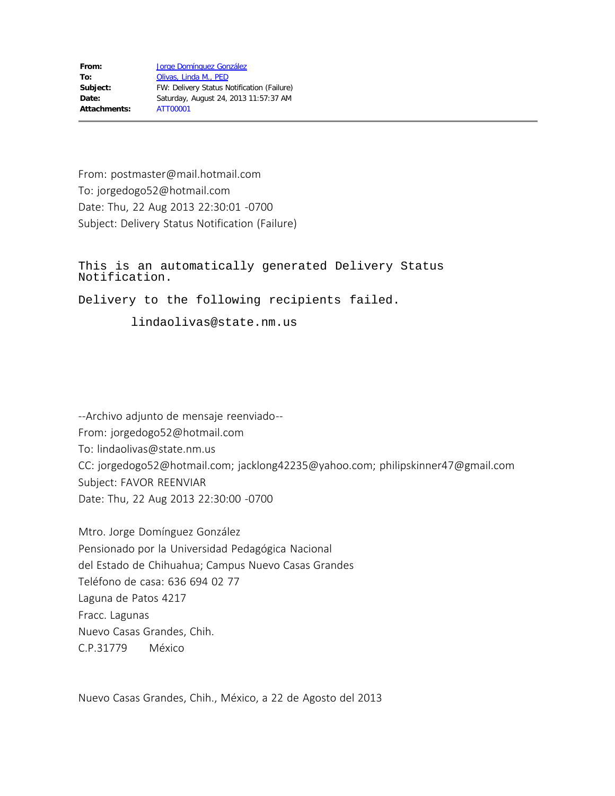From: postmaster@mail.hotmail.com To: jorgedogo52@hotmail.com Date: Thu, 22 Aug 2013 22:30:01 -0700 Subject: Delivery Status Notification (Failure)

This is an automatically generated Delivery Status Notification.

Delivery to the following recipients failed.

lindaolivas@state.nm.us

--Archivo adjunto de mensaje reenviado-- From: jorgedogo52@hotmail.com To: lindaolivas@state.nm.us CC: jorgedogo52@hotmail.com; jacklong42235@yahoo.com; philipskinner47@gmail.com Subject: FAVOR REENVIAR Date: Thu, 22 Aug 2013 22:30:00 -0700

Mtro. Jorge Domínguez González Pensionado por la Universidad Pedagógica Nacional del Estado de Chihuahua; Campus Nuevo Casas Grandes Teléfono de casa: 636 694 02 77 Laguna de Patos 4217 Fracc. Lagunas Nuevo Casas Grandes, Chih. C.P.31779 México

Nuevo Casas Grandes, Chih., México, a 22 de Agosto del 2013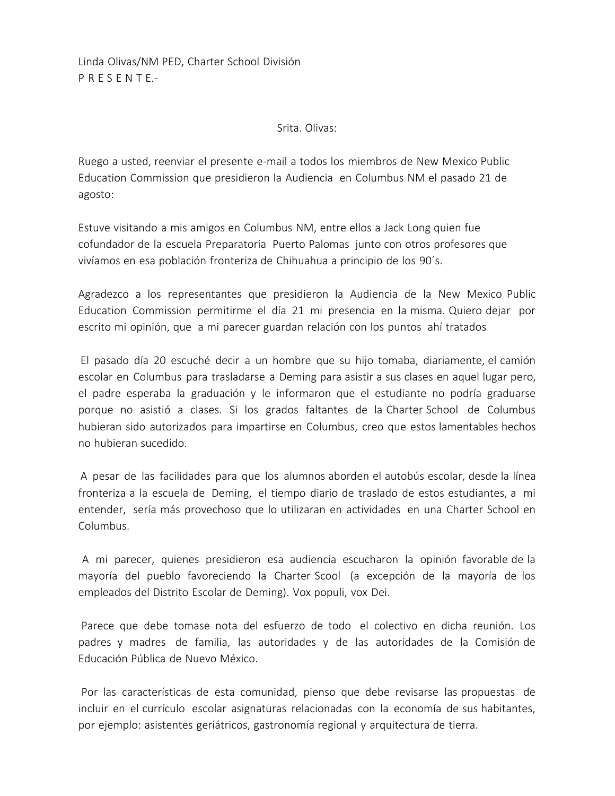Linda Olivas/NM PED, Charter School División P R E S E N T E.-

#### Srita. Olivas:

Ruego a usted, reenviar el presente e-mail a todos los miembros de New Mexico Public Education Commission que presidieron la Audiencia en Columbus NM el pasado 21 de agosto:

Estuve visitando a mis amigos en Columbus NM, entre ellos a Jack Long quien fue cofundador de la escuela Preparatoria Puerto Palomas junto con otros profesores que vivíamos en esa población fronteriza de Chihuahua a principio de los 90´s.

Agradezco a los representantes que presidieron la Audiencia de la New Mexico Public Education Commission permitirme el día 21 mi presencia en la misma. Quiero dejar por escrito mi opinión, que a mi parecer guardan relación con los puntos ahí tratados

 El pasado día 20 escuché decir a un hombre que su hijo tomaba, diariamente, el camión escolar en Columbus para trasladarse a Deming para asistir a sus clases en aquel lugar pero, el padre esperaba la graduación y le informaron que el estudiante no podría graduarse porque no asistió a clases. Si los grados faltantes de la Charter School de Columbus hubieran sido autorizados para impartirse en Columbus, creo que estos lamentables hechos no hubieran sucedido.

 A pesar de las facilidades para que los alumnos aborden el autobús escolar, desde la línea fronteriza a la escuela de Deming, el tiempo diario de traslado de estos estudiantes, a mi entender, sería más provechoso que lo utilizaran en actividades en una Charter School en Columbus.

 A mi parecer, quienes presidieron esa audiencia escucharon la opinión favorable de la mayoría del pueblo favoreciendo la Charter Scool (a excepción de la mayoría de los empleados del Distrito Escolar de Deming). Vox populi, vox Dei.

 Parece que debe tomase nota del esfuerzo de todo el colectivo en dicha reunión. Los padres y madres de familia, las autoridades y de las autoridades de la Comisión de Educación Pública de Nuevo México.

 Por las características de esta comunidad, pienso que debe revisarse las propuestas de incluir en el currículo escolar asignaturas relacionadas con la economía de sus habitantes, por ejemplo: asistentes geriátricos, gastronomía regional y arquitectura de tierra.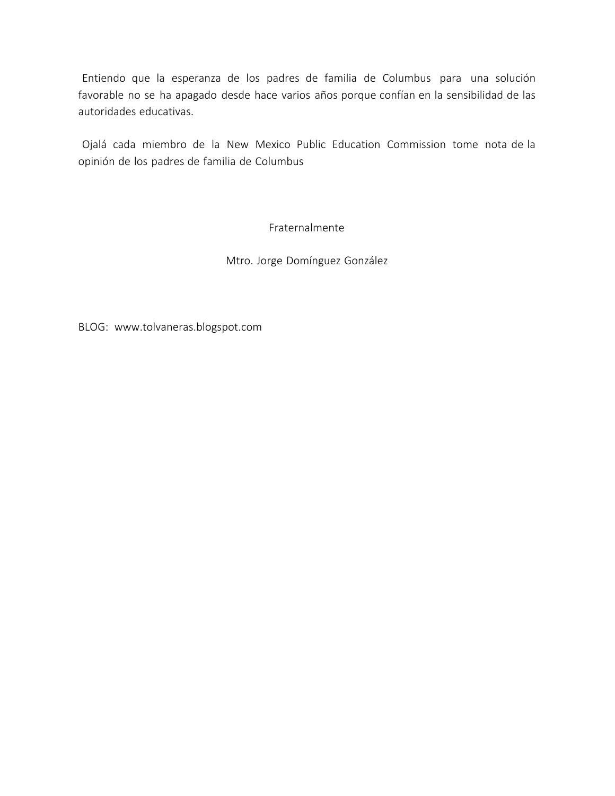Entiendo que la esperanza de los padres de familia de Columbus para una solución favorable no se ha apagado desde hace varios años porque confían en la sensibilidad de las autoridades educativas.

 Ojalá cada miembro de la New Mexico Public Education Commission tome nota de la opinión de los padres de familia de Columbus

Fraternalmente

Mtro. Jorge Domínguez González

BLOG: www.tolvaneras.blogspot.com